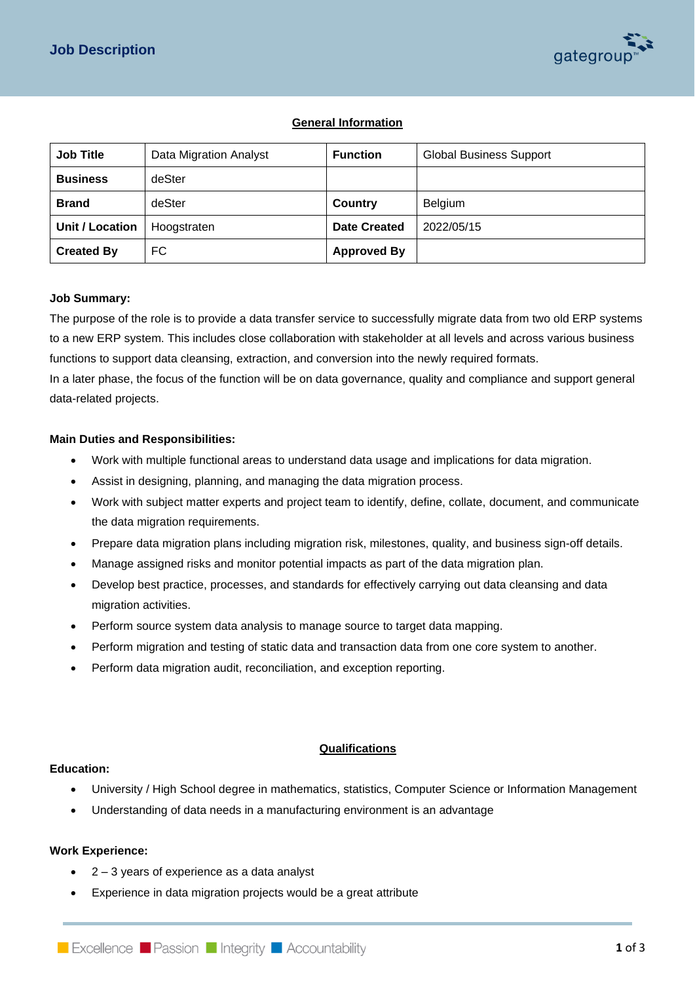

# **General Information**

| <b>Job Title</b>       | Data Migration Analyst | <b>Function</b>     | <b>Global Business Support</b> |
|------------------------|------------------------|---------------------|--------------------------------|
| <b>Business</b>        | deSter                 |                     |                                |
| <b>Brand</b>           | deSter                 | <b>Country</b>      | Belgium                        |
| <b>Unit / Location</b> | Hoogstraten            | <b>Date Created</b> | 2022/05/15                     |
| <b>Created By</b>      | FC.                    | <b>Approved By</b>  |                                |

### **Job Summary:**

The purpose of the role is to provide a data transfer service to successfully migrate data from two old ERP systems to a new ERP system. This includes close collaboration with stakeholder at all levels and across various business functions to support data cleansing, extraction, and conversion into the newly required formats.

In a later phase, the focus of the function will be on data governance, quality and compliance and support general data-related projects.

#### **Main Duties and Responsibilities:**

- Work with multiple functional areas to understand data usage and implications for data migration.
- Assist in designing, planning, and managing the data migration process.
- Work with subject matter experts and project team to identify, define, collate, document, and communicate the data migration requirements.
- Prepare data migration plans including migration risk, milestones, quality, and business sign-off details.
- Manage assigned risks and monitor potential impacts as part of the data migration plan.
- Develop best practice, processes, and standards for effectively carrying out data cleansing and data migration activities.
- Perform source system data analysis to manage source to target data mapping.
- Perform migration and testing of static data and transaction data from one core system to another.
- Perform data migration audit, reconciliation, and exception reporting.

### **Qualifications**

### **Education:**

- University / High School degree in mathematics, statistics, Computer Science or Information Management
- Understanding of data needs in a manufacturing environment is an advantage

### **Work Experience:**

- 2 3 years of experience as a data analyst
- Experience in data migration projects would be a great attribute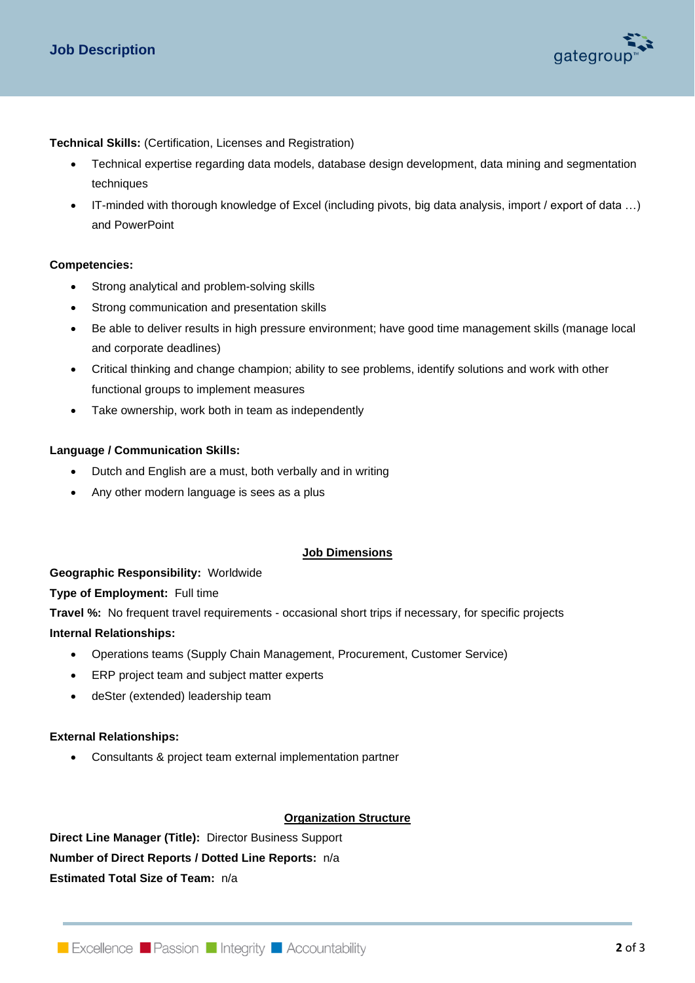

**Technical Skills:** (Certification, Licenses and Registration)

- Technical expertise regarding data models, database design development, data mining and segmentation techniques
- IT-minded with thorough knowledge of Excel (including pivots, big data analysis, import / export of data …) and PowerPoint

### **Competencies:**

- Strong analytical and problem-solving skills
- Strong communication and presentation skills
- Be able to deliver results in high pressure environment; have good time management skills (manage local and corporate deadlines)
- Critical thinking and change champion; ability to see problems, identify solutions and work with other functional groups to implement measures
- Take ownership, work both in team as independently

### **Language / Communication Skills:**

- Dutch and English are a must, both verbally and in writing
- Any other modern language is sees as a plus

## **Job Dimensions**

### **Geographic Responsibility:** Worldwide

**Type of Employment:** Full time

**Travel %:** No frequent travel requirements - occasional short trips if necessary, for specific projects

### **Internal Relationships:**

- Operations teams (Supply Chain Management, Procurement, Customer Service)
- ERP project team and subject matter experts
- deSter (extended) leadership team

### **External Relationships:**

• Consultants & project team external implementation partner

## **Organization Structure**

**Direct Line Manager (Title):** Director Business Support **Number of Direct Reports / Dotted Line Reports:** n/a **Estimated Total Size of Team:** n/a